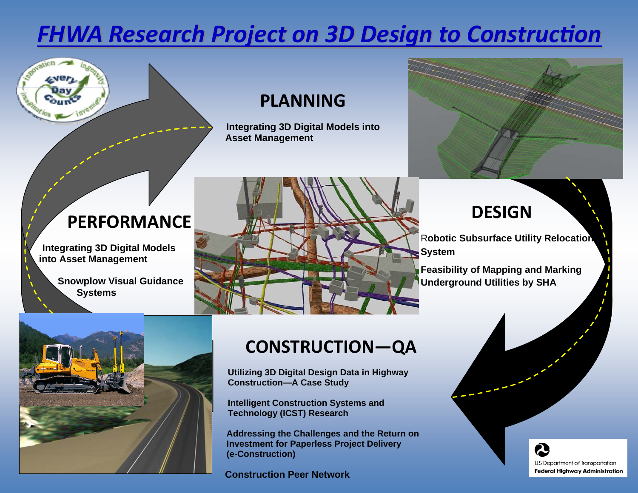# *FHWA Research Project on 3D Design to Construc Ɵon*

### **PLANNING**

 **Integrating 3D Digital Models into Asset Management** 



### **PERFORMANCE**

 **Integrating 3D Digital Models into Asset Management** 

> **Snowplow Visual Guidance Systems**



## **DESIGN**

R**obotic Subsurface Utility Relocation System** 

> U.S. Department of Transportation **Federal Highway Administration**

**Feasibility of Mapping and Marking Underground Utilities by SHA**



# **CONSTRUCTION—QA**

 **Utilizing 3D Digital Design Data in Highway Construction—A Case Study** 

 **Intelligent Construction Systems and Technology (ICST) Research** 

 **Addressing the Challenges and the Return on Investment for Paperless Project Delivery (e-Construction)** 

 **Construction Peer Network**